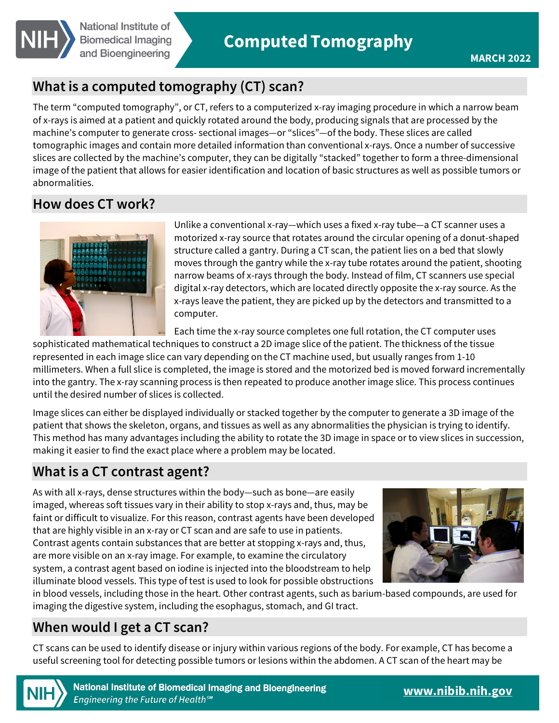

# **What is a computed tomography (CT) scan?**

The term "computed tomography", or CT, refers to a computerized x-ray imaging procedure in which a narrow beam of x-rays is aimed at a patient and quickly rotated around the body, producing signals that are processed by the machine's computer to generate cross- sectional images—or "slices"—of the body. These slices are called tomographic images and contain more detailed information than conventional x-rays. Once a number of successive slices are collected by the machine's computer, they can be digitally "stacked" together to form a three-dimensional image of the patient that allows for easier identification and location of basic structures as well as possible tumors or abnormalities.

## **How does CT work?**



Unlike a conventional x-ray—which uses a fixed x-ray tube—a CT scanner uses a motorized x-ray source that rotates around the circular opening of a donut-shaped structure called a gantry. During a CT scan, the patient lies on a bed that slowly moves through the gantry while the x-ray tube rotates around the patient, shooting narrow beams of x-rays through the body. Instead of film, CT scanners use special digital x-ray detectors, which are located directly opposite the x-ray source. As the x-rays leave the patient, they are picked up by the detectors and transmitted to a computer.

Each time the x-ray source completes one full rotation, the CT computer uses

sophisticated mathematical techniques to construct a 2D image slice of the patient. The thickness of the tissue represented in each image slice can vary depending on the CT machine used, but usually ranges from 1-10 millimeters. When a full slice is completed, the image is stored and the motorized bed is moved forward incrementally into the gantry. The x-ray scanning process is then repeated to produce another image slice. This process continues until the desired number of slices is collected.

Image slices can either be displayed individually or stacked together by the computer to generate a 3D image of the patient that shows the skeleton, organs, and tissues as well as any abnormalities the physician is trying to identify. This method has many advantages including the ability to rotate the 3D image in space or to view slices in succession, making it easier to find the exact place where a problem may be located.

### **What is a CT contrast agent?**

As with all x-rays, dense structures within the body—such as bone—are easily imaged, whereas soft tissues vary in their ability to stop x-rays and, thus, may be faint or difficult to visualize. For this reason, contrast agents have been developed that are highly visible in an x-ray or CT scan and are safe to use in patients. Contrast agents contain substances that are better at stopping x-rays and, thus, are more visible on an x-ray image. For example, to examine the circulatory system, a contrast agent based on iodine is injected into the bloodstream to help illuminate blood vessels. This type of test is used to look for possible obstructions



in blood vessels, including those in the heart. Other contrast agents, such as barium-based compounds, are used for imaging the digestive system, including the esophagus, stomach, and GI tract.

### **When would I get a CT scan?**

CT scans can be used to identify disease or injury within various regions of the body. For example, CT has become a useful screening tool for detecting possible tumors or lesions within the abdomen. A CT scan of the heart may be



National Institute of Biomedical Imaging and Bioengineering Engineering the Future of Health<sup>5M</sup>